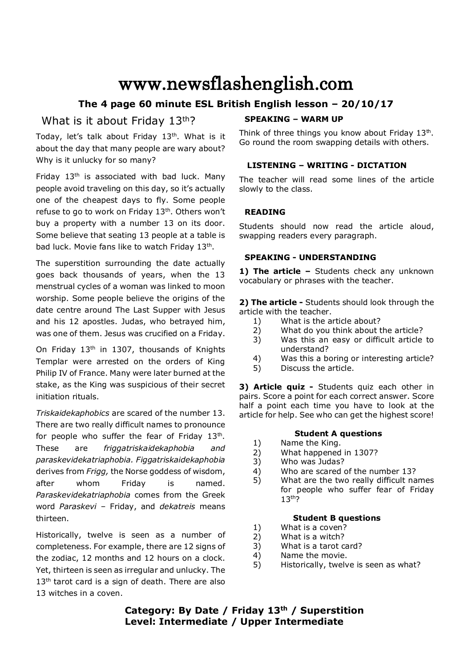# www.newsflashenglish.com

# **The 4 page 60 minute ESL British English lesson – 20/10/17**

# What is it about Friday 13<sup>th</sup>?

Today, let's talk about Friday  $13<sup>th</sup>$ . What is it about the day that many people are wary about? Why is it unlucky for so many?

Friday 13<sup>th</sup> is associated with bad luck. Many people avoid traveling on this day, so it's actually one of the cheapest days to fly. Some people refuse to go to work on Friday  $13<sup>th</sup>$ . Others won't buy a property with a number 13 on its door. Some believe that seating 13 people at a table is bad luck. Movie fans like to watch Friday 13<sup>th</sup>.

The superstition surrounding the date actually goes back thousands of years, when the 13 menstrual cycles of a woman was linked to moon worship. Some people believe the origins of the date centre around The Last Supper with Jesus and his 12 apostles. Judas, who betrayed him, was one of them. Jesus was crucified on a Friday.

On Friday 13<sup>th</sup> in 1307, thousands of Knights Templar were arrested on the orders of King Philip IV of France. Many were later burned at the stake, as the King was suspicious of their secret initiation rituals.

*Triskaidekaphobics* are scared of the number 13. There are two really difficult names to pronounce for people who suffer the fear of Friday  $13<sup>th</sup>$ . These are *friggatriskaidekaphobia and paraskevidekatriaphobia. Figgatriskaidekaphobia* derives from *Frigg,* the Norse goddess of wisdom, after whom Friday is named. *Paraskevidekatriaphobia* comes from the Greek word *Paraskevi* – Friday, and *dekatreis* means thirteen.

Historically, twelve is seen as a number of completeness. For example, there are 12 signs of the zodiac, 12 months and 12 hours on a clock. Yet, thirteen is seen as irregular and unlucky. The 13<sup>th</sup> tarot card is a sign of death. There are also 13 witches in a coven.

# **SPEAKING – WARM UP**

Think of three things you know about Friday 13<sup>th</sup>. Go round the room swapping details with others.

# **LISTENING – WRITING - DICTATION**

The teacher will read some lines of the article slowly to the class.

# **READING**

Students should now read the article aloud, swapping readers every paragraph.

# **SPEAKING - UNDERSTANDING**

1) The article - Students check any unknown vocabulary or phrases with the teacher.

**2) The article -** Students should look through the article with the teacher.

- 1) What is the article about?
- 2) What do you think about the article?
- 3) Was this an easy or difficult article to understand?
- 4) Was this a boring or interesting article?
- 5) Discuss the article.

**3) Article quiz -** Students quiz each other in pairs. Score a point for each correct answer. Score half a point each time you have to look at the article for help. See who can get the highest score!

# **Student A questions**

- 1) Name the King.
- 2) What happened in 1307?
- 3) Who was Judas?
- 4) Who are scared of the number 13?
- 5) What are the two really difficult names for people who suffer fear of Friday 13<sup>th</sup>?

# **Student B questions**

- 1) What is a coven?
- 2) What is a witch?
- 3) What is a tarot card?
- 4) Name the movie.
- 5) Historically, twelve is seen as what?

# **Category: By Date / Friday 13th / Superstition Level: Intermediate / Upper Intermediate**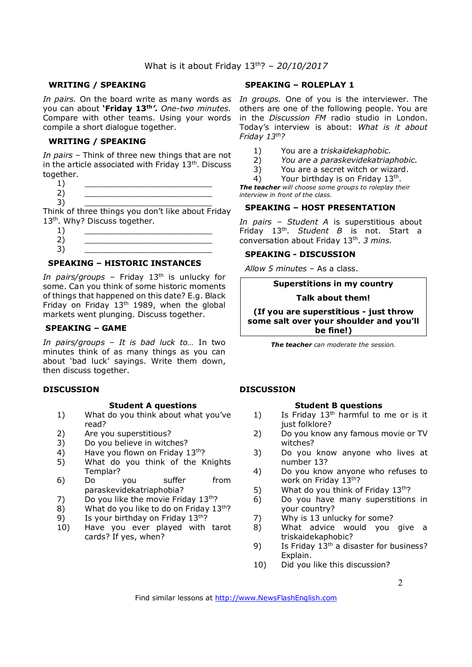#### **WRITING / SPEAKING**

you can about **'Friday 13th** *'. One-two minutes.*  Compare with other teams. Using your words compile a short dialogue together.

#### **WRITING / SPEAKING**

*In pairs* – Think of three new things that are not in the article associated with Friday  $13<sup>th</sup>$ . Discuss together.

 $1)$   $\qquad \qquad$ 2) \_\_\_\_\_\_\_\_\_\_\_\_\_\_\_\_\_\_\_\_\_\_\_\_\_\_

3) \_\_\_\_\_\_\_\_\_\_\_\_\_\_\_\_\_\_\_\_\_\_\_\_\_\_ Think of three things you don't like about Friday

13<sup>th</sup>. Why? Discuss together.

 $1)$   $\qquad \qquad$ 2) \_\_\_\_\_\_\_\_\_\_\_\_\_\_\_\_\_\_\_\_\_\_\_\_\_\_ 3) \_\_\_\_\_\_\_\_\_\_\_\_\_\_\_\_\_\_\_\_\_\_\_\_\_\_

# **SPEAKING – HISTORIC INSTANCES**

*In pairs/groups - Friday 13<sup>th</sup> is unlucky for* some. Can you think of some historic moments of things that happened on this date? E.g. Black Friday on Friday  $13<sup>th</sup>$  1989, when the global markets went plunging. Discuss together.

#### **SPEAKING – GAME**

*In pairs/groups – It is bad luck to…* In two minutes think of as many things as you can about 'bad luck' sayings. Write them down, then discuss together.

#### **DISCUSSION**

#### **Student A questions**

- 1) What do you think about what you've read?
- 2) Are you superstitious?
- 3) Do you believe in witches?
- 4) Have you flown on Friday 13th?
- 5) What do you think of the Knights Templar?
- 6) Do you suffer from paraskevidekatriaphobia?
- 7) Do you like the movie Friday  $13^{th}$ ?
- 8) What do you like to do on Friday  $13<sup>th</sup>$ ?
- 9) Is your birthday on Friday  $13<sup>th</sup>$ ?
- 10) Have you ever played with tarot cards? If yes, when?

#### **SPEAKING – ROLEPLAY 1**

In pairs. On the board write as many words as In groups. One of you is the interviewer. The others are one of the following people. You are in the *Discussion FM* radio studio in London. Today's interview is about: *What is it about Friday 13th?* 

- 1) You are a *triskaidekaphobic.*
- 2) *You are a paraskevidekatriaphobic.*
- 3) You are a secret witch or wizard.
- 4) Your birthday is on Friday  $13<sup>th</sup>$ .

*The teacher will choose some groups to roleplay their interview in front of the class.* 

### **SPEAKING – HOST PRESENTATION**

*In pairs – Student A* is superstitious about Friday 13<sup>th</sup>. Student B is not. Start a conversation about Friday 13th . *3 mins.*

#### **SPEAKING - DISCUSSION**

*Allow 5 minutes* – As a class.

# **Superstitions in my country**

#### **Talk about them!**

**(If you are superstitious - just throw some salt over your shoulder and you'll be fine!)**

*The teacher can moderate the session.*

#### **DISCUSSION**

#### **Student B questions**

- 1) Is Friday  $13<sup>th</sup>$  harmful to me or is it just folklore?
- 2) Do you know any famous movie or TV witches?
- 3) Do you know anyone who lives at number 13?
- 4) Do you know anyone who refuses to work on Friday 13th?
- 5) What do you think of Friday  $13<sup>th</sup>$ ?
- 6) Do you have many superstitions in your country?
- 7) Why is 13 unlucky for some?
- 8) What advice would you give a triskaidekaphobic?
- 9) Is Friday  $13<sup>th</sup>$  a disaster for business? Explain.
- 10) Did you like this discussion?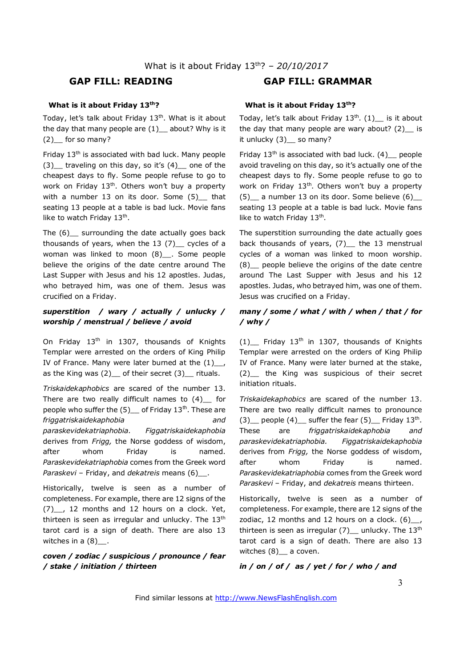# **GAP FILL: READING GAP FILL: GRAMMAR**

### **What is it about Friday 13th?**

Today, let's talk about Friday  $13<sup>th</sup>$ . What is it about the day that many people are  $(1)$  about? Why is it (2)\_\_ for so many?

Friday 13<sup>th</sup> is associated with bad luck. Many people (3)\_\_ traveling on this day, so it's (4)\_\_ one of the cheapest days to fly. Some people refuse to go to work on Friday  $13<sup>th</sup>$ . Others won't buy a property with a number 13 on its door. Some (5) that seating 13 people at a table is bad luck. Movie fans like to watch Friday 13<sup>th</sup>.

The (6) surrounding the date actually goes back thousands of years, when the  $13$  (7) cycles of a woman was linked to moon (8)\_\_\_. Some people believe the origins of the date centre around The Last Supper with Jesus and his 12 apostles. Judas, who betrayed him, was one of them. Jesus was crucified on a Friday.

# *superstition / wary / actually / unlucky / worship / menstrual / believe / avoid*

On Friday 13<sup>th</sup> in 1307, thousands of Knights Templar were arrested on the orders of King Philip IV of France. Many were later burned at the  $(1)$ , as the King was  $(2)$  of their secret  $(3)$  rituals.

*Triskaidekaphobics* are scared of the number 13. There are two really difficult names to  $(4)$  for people who suffer the  $(5)$  of Friday 13<sup>th</sup>. These are *friggatriskaidekaphobia and paraskevidekatriaphobia. Figgatriskaidekaphobia* derives from *Frigg,* the Norse goddess of wisdom, after whom Friday is named. *Paraskevidekatriaphobia* comes from the Greek word *Paraskevi* – Friday, and *dekatreis* means (6)\_\_.

Historically, twelve is seen as a number of completeness. For example, there are 12 signs of the (7) . 12 months and 12 hours on a clock. Yet, thirteen is seen as irregular and unlucky. The  $13<sup>th</sup>$ tarot card is a sign of death. There are also 13 witches in a  $(8)$ .

### *coven / zodiac / suspicious / pronounce / fear / stake / initiation / thirteen*

# **What is it about Friday 13th?**

Today, let's talk about Friday  $13<sup>th</sup>$ . (1) is it about the day that many people are wary about?  $(2)$  is it unlucky (3) \_\_ so many?

Friday  $13<sup>th</sup>$  is associated with bad luck. (4) people avoid traveling on this day, so it's actually one of the cheapest days to fly. Some people refuse to go to work on Friday  $13<sup>th</sup>$ . Others won't buy a property  $(5)$  a number 13 on its door. Some believe  $(6)$ seating 13 people at a table is bad luck. Movie fans like to watch Friday 13<sup>th</sup>.

The superstition surrounding the date actually goes back thousands of years, (7)\_ the 13 menstrual cycles of a woman was linked to moon worship. (8)\_\_ people believe the origins of the date centre around The Last Supper with Jesus and his 12 apostles. Judas, who betrayed him, was one of them. Jesus was crucified on a Friday.

# *many / some / what / with / when / that / for / why /*

 $(1)$  Friday 13<sup>th</sup> in 1307, thousands of Knights Templar were arrested on the orders of King Philip IV of France. Many were later burned at the stake, (2)\_\_ the King was suspicious of their secret initiation rituals.

*Triskaidekaphobics* are scared of the number 13. There are two really difficult names to pronounce  $(3)$  people  $(4)$  suffer the fear  $(5)$  Friday 13<sup>th</sup>. These are *friggatriskaidekaphobia and paraskevidekatriaphobia. Figgatriskaidekaphobia* derives from *Frigg,* the Norse goddess of wisdom, after whom Friday is named. *Paraskevidekatriaphobia* comes from the Greek word *Paraskevi* – Friday, and *dekatreis* means thirteen.

Historically, twelve is seen as a number of completeness. For example, there are 12 signs of the zodiac, 12 months and 12 hours on a clock.  $(6)$ , thirteen is seen as irregular  $(7)$  unlucky. The 13<sup>th</sup> tarot card is a sign of death. There are also 13 witches (8) a coven.

# *in / on / of / as / yet / for / who / and*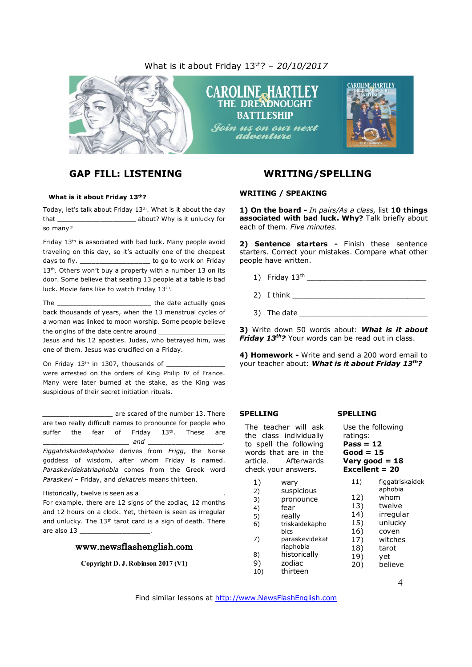# What is it about Friday 13th? *– 20/10/2017*



# **GAP FILL: LISTENING WRITING/SPELLING**

#### **What is it about Friday 13th?**

Today, let's talk about Friday 13th. What is it about the day that \_\_\_\_\_\_\_\_\_\_\_\_\_\_\_\_\_\_\_\_ about? Why is it unlucky for so many?

Friday 13<sup>th</sup> is associated with bad luck. Many people avoid traveling on this day, so it's actually one of the cheapest days to fly. \_\_\_\_\_\_\_\_\_\_\_\_\_\_\_\_\_\_\_\_\_\_ to go to work on Friday 13<sup>th</sup>. Others won't buy a property with a number 13 on its door. Some believe that seating 13 people at a table is bad luck. Movie fans like to watch Friday 13<sup>th</sup>.

The \_\_\_\_\_\_\_\_\_\_\_\_\_\_\_\_\_\_\_\_\_\_\_\_ the date actually goes back thousands of years, when the 13 menstrual cycles of a woman was linked to moon worship. Some people believe the origins of the date centre around

Jesus and his 12 apostles. Judas, who betrayed him, was one of them. Jesus was crucified on a Friday.

On Friday  $13<sup>th</sup>$  in 1307, thousands of

were arrested on the orders of King Philip IV of France. Many were later burned at the stake, as the King was suspicious of their secret initiation rituals.

*\_\_\_\_\_\_\_\_\_\_\_\_\_\_\_\_\_\_* are scared of the number 13. There are two really difficult names to pronounce for people who suffer the fear of Friday  $13<sup>th</sup>$ . These are  $and$ *Figgatriskaidekaphobia* derives from *Frigg,* the Norse goddess of wisdom, after whom Friday is named.

*Paraskevidekatriaphobia* comes from the Greek word *Paraskevi* – Friday, and *dekatreis* means thirteen.

Historically, twelve is seen as a For example, there are 12 signs of the zodiac, 12 months and 12 hours on a clock. Yet, thirteen is seen as irregular and unlucky. The 13<sup>th</sup> tarot card is a sign of death. There are also 13

#### www.newsflashenglish.com

**Copyright D. J. Robinson 2017 (V1)**

#### **WRITING / SPEAKING**

**1) On the board -** *In pairs/As a class,* list **10 things associated with bad luck. Why?** Talk briefly about each of them. *Five minutes.*

**2) Sentence starters -** Finish these sentence starters. Correct your mistakes. Compare what other people have written.

- 1) Friday  $13^{th}$
- $2)$  I think  $\overline{\phantom{a}}$
- 3) The date

**3)** Write down 50 words about: *What is it about Friday 13th?* Your words can be read out in class.

**4) Homework -** Write and send a 200 word email to your teacher about: *What is it about Friday 13th?* 

#### **SPELLING**

The teacher will ask the class individually to spell the following words that are in the article. Afterwards check your answers.

1) wary

4) fear

10) thirteen

2) suspicious 3) pronounce **Good = 15 Very good = 18 Excellent = 20** 11) figgatriskaidek aphobia 12) whom 13) twelve

**SPELLING**

ratings: **Pass = 12** 

Use the following

- 5) really 6) triskaidekapho bics 7) paraskevidekat riaphobia 8) historically 9) zodiac 14) irregular 15) unlucky 16) coven 17) witches 18) tarot 19) yet
	- 20) believe

Find similar lessons at http://www.NewsFlashEnglish.com